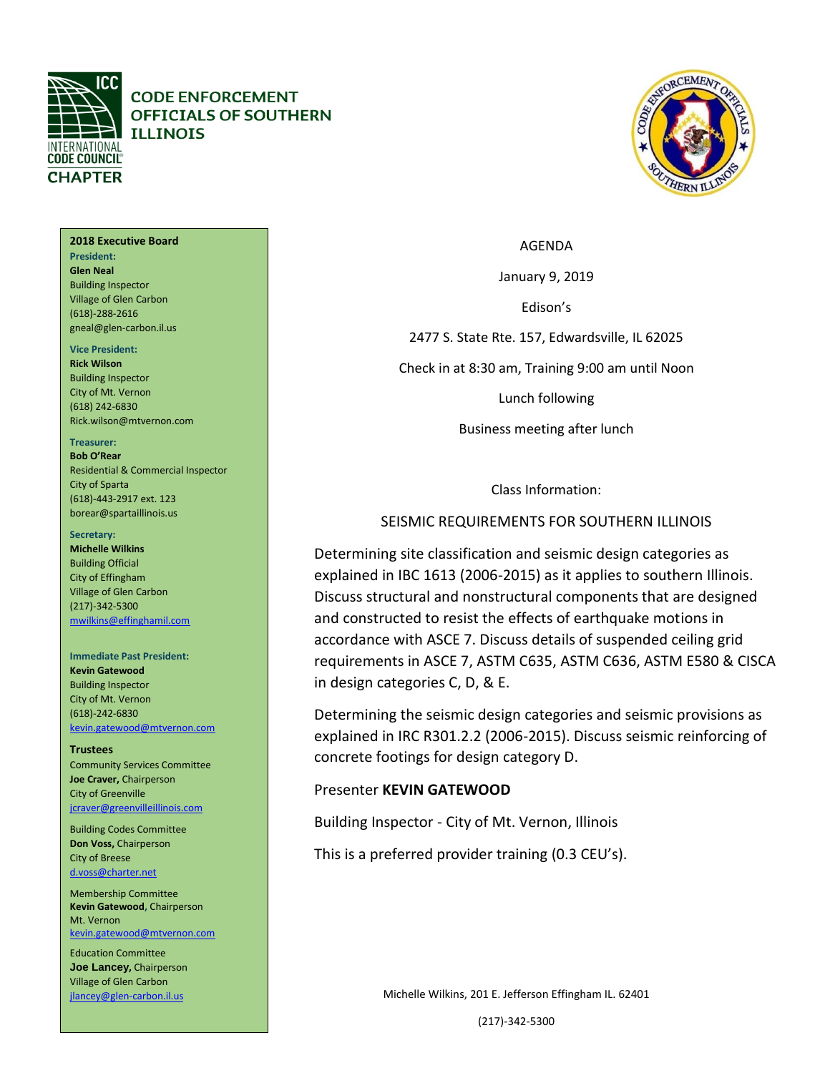

**CODE ENFORCEMENT OFFICIALS OF SOUTHERN ILLINOIS** 



#### AGENDA

January 9, 2019

Edison's

2477 S. State Rte. 157, Edwardsville, IL 62025

Check in at 8:30 am, Training 9:00 am until Noon

Lunch following

Business meeting after lunch

Class Information:

### SEISMIC REQUIREMENTS FOR SOUTHERN ILLINOIS

Determining site classification and seismic design categories as explained in IBC 1613 (2006-2015) as it applies to southern Illinois. Discuss structural and nonstructural components that are designed and constructed to resist the effects of earthquake motions in accordance with ASCE 7. Discuss details of suspended ceiling grid requirements in ASCE 7, ASTM C635, ASTM C636, ASTM E580 & CISCA in design categories C, D, & E.

Determining the seismic design categories and seismic provisions as explained in IRC R301.2.2 (2006-2015). Discuss seismic reinforcing of concrete footings for design category D.

## Presenter **KEVIN GATEWOOD**

Building Inspector - City of Mt. Vernon, Illinois

This is a preferred provider training (0.3 CEU's).

Michelle Wilkins, 201 E. Jefferson Effingham IL. 62401

(217)-342-5300

#### **2018 Executive Board President: Glen Neal** Building Inspector Village of Glen Carbon (618)-288-2616 gneal@glen-carbon.il.us

#### **Vice President:**

**Rick Wilson** Building Inspector City of Mt. Vernon (618) 242-6830 Rick.wilson@mtvernon.com

#### **Treasurer:**

**Bob O'Rear** Residential & Commercial Inspector City of Sparta (618)-443-2917 ext. 123 borear@spartaillinois.us

#### **Secretary:**

**Michelle Wilkins** Building Official City of Effingham Village of Glen Carbon (217)-342-5300 [mwilkins@effinghamil.com](mailto:gneal@glen-carbon.il.us)

#### **Immediate Past President:**

**Kevin Gatewood** Building Inspector City of Mt. Vernon (618)-242-6830 [kevin.gatewood@mtvernon.com](mailto:kevin.gatewood@mtvernon.com)

#### **Trustees**

Community Services Committee **Joe Craver,** Chairperson City of Greenville [jcraver@greenvilleillinois.com](mailto:jcraver@greenvilleillinois.com)

Building Codes Committee **Don Voss,** Chairperson City of Breese [d.voss@charter.net](mailto:d.voss@charter.net)

Membership Committee **Kevin Gatewood,** Chairperson Mt. Vernon [kevin.gatewood@mtvernon.com](mailto:kevin.gatewood@mtvernon.com) 

Education Committee **Joe Lancey,** Chairperson Village of Glen Carbon [jlancey@glen-carbon.il.us](mailto:jlancey@glen-carbon.il.us)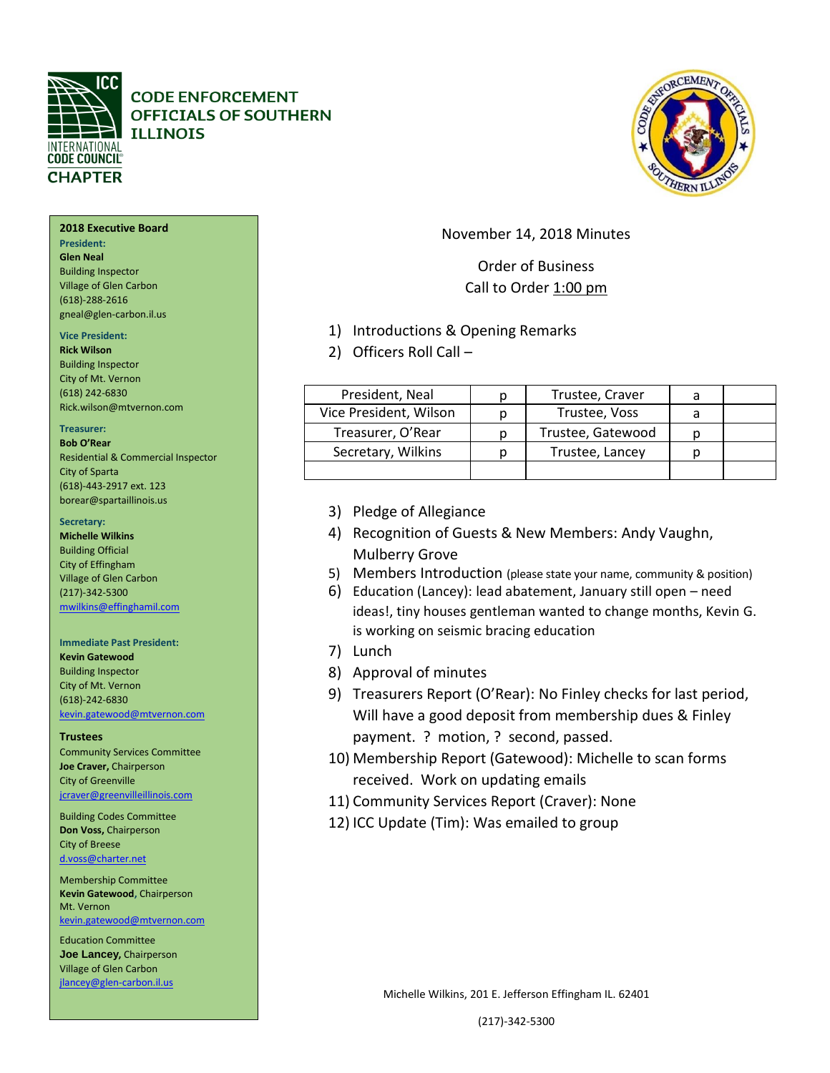

## **CODE ENFORCEMENT OFFICIALS OF SOUTHERN ILLINOIS**

#### **2018 Executive Board**

**President: Glen Neal** Building Inspector Village of Glen Carbon (618)-288-2616 gneal@glen-carbon.il.us

### **Vice President:**

**Rick Wilson** Building Inspector City of Mt. Vernon (618) 242-6830 Rick.wilson@mtvernon.com

#### **Treasurer:**

**Bob O'Rear** Residential & Commercial Inspector City of Sparta (618)-443-2917 ext. 123 borear@spartaillinois.us

#### **Secretary:**

**Michelle Wilkins** Building Official City of Effingham Village of Glen Carbon (217)-342-5300 [mwilkins@effinghamil.com](mailto:gneal@glen-carbon.il.us)

#### **Immediate Past President:**

**Kevin Gatewood** Building Inspector City of Mt. Vernon (618)-242-6830 [kevin.gatewood@mtvernon.com](mailto:kevin.gatewood@mtvernon.com)

#### **Trustees**

Community Services Committee **Joe Craver,** Chairperson City of Greenville [jcraver@greenvilleillinois.com](mailto:jcraver@greenvilleillinois.com)

Building Codes Committee **Don Voss,** Chairperson City of Breese [d.voss@charter.net](mailto:d.voss@charter.net)

Membership Committee **Kevin Gatewood,** Chairperson Mt. Vernon [kevin.gatewood@mtvernon.com](mailto:kevin.gatewood@mtvernon.com) 

Education Committee **Joe Lancey,** Chairperson Village of Glen Carbon [jlancey@glen-carbon.il.us](mailto:jlancey@glen-carbon.il.us) 

## November 14, 2018 Minutes

## Order of Business Call to Order 1:00 pm

- 1) Introductions & Opening Remarks
- 2) Officers Roll Call –

| President, Neal        | Trustee, Craver   |  |
|------------------------|-------------------|--|
| Vice President, Wilson | Trustee, Voss     |  |
| Treasurer, O'Rear      | Trustee, Gatewood |  |
| Secretary, Wilkins     | Trustee, Lancey   |  |
|                        |                   |  |

- 3) Pledge of Allegiance
- 4) Recognition of Guests & New Members: Andy Vaughn, Mulberry Grove
- 5) Members Introduction (please state your name, community & position)
- 6) Education (Lancey): lead abatement, January still open need ideas!, tiny houses gentleman wanted to change months, Kevin G. is working on seismic bracing education
- 7) Lunch
- 8) Approval of minutes
- 9) Treasurers Report (O'Rear): No Finley checks for last period, Will have a good deposit from membership dues & Finley payment. ? motion, ? second, passed.
- 10) Membership Report (Gatewood): Michelle to scan forms received. Work on updating emails
- 11) Community Services Report (Craver): None
- 12) ICC Update (Tim): Was emailed to group